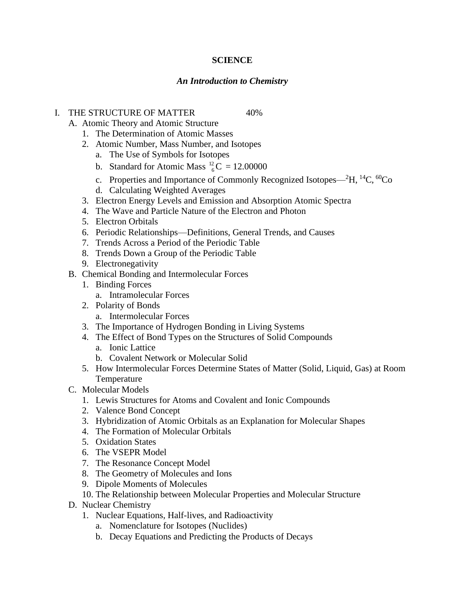# **SCIENCE**

# *An Introduction to Chemistry*

### I. THE STRUCTURE OF MATTER 40%

A. Atomic Theory and Atomic Structure

- 1. The Determination of Atomic Masses
- 2. Atomic Number, Mass Number, and Isotopes
	- a. The Use of Symbols for Isotopes
	- b. Standard for Atomic Mass  ${}^{12}_{6}C$  $_{6}^{2}$ C = 12.00000
	- c. Properties and Importance of Commonly Recognized Isotopes—<sup>2</sup>H, <sup>14</sup>C, <sup>60</sup>Co
	- d. Calculating Weighted Averages
- 3. Electron Energy Levels and Emission and Absorption Atomic Spectra
- 4. The Wave and Particle Nature of the Electron and Photon
- 5. Electron Orbitals
- 6. Periodic Relationships—Definitions, General Trends, and Causes
- 7. Trends Across a Period of the Periodic Table
- 8. Trends Down a Group of the Periodic Table
- 9. Electronegativity
- B. Chemical Bonding and Intermolecular Forces
	- 1. Binding Forces
		- a. Intramolecular Forces
	- 2. Polarity of Bonds
		- a. Intermolecular Forces
	- 3. The Importance of Hydrogen Bonding in Living Systems
	- 4. The Effect of Bond Types on the Structures of Solid Compounds a. Ionic Lattice
		- b. Covalent Network or Molecular Solid
	- 5. How Intermolecular Forces Determine States of Matter (Solid, Liquid, Gas) at Room Temperature
- C. Molecular Models
	- 1. Lewis Structures for Atoms and Covalent and Ionic Compounds
	- 2. Valence Bond Concept
	- 3. Hybridization of Atomic Orbitals as an Explanation for Molecular Shapes
	- 4. The Formation of Molecular Orbitals
	- 5. Oxidation States
	- 6. The VSEPR Model
	- 7. The Resonance Concept Model
	- 8. The Geometry of Molecules and Ions
	- 9. Dipole Moments of Molecules
	- 10. The Relationship between Molecular Properties and Molecular Structure
- D. Nuclear Chemistry
	- 1. Nuclear Equations, Half-lives, and Radioactivity
		- a. Nomenclature for Isotopes (Nuclides)
		- b. Decay Equations and Predicting the Products of Decays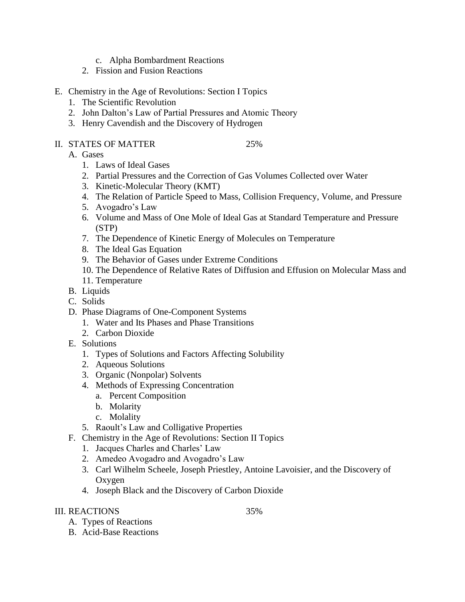- c. Alpha Bombardment Reactions
- 2. Fission and Fusion Reactions
- E. Chemistry in the Age of Revolutions: Section I Topics
	- 1. The Scientific Revolution
	- 2. John Dalton's Law of Partial Pressures and Atomic Theory
	- 3. Henry Cavendish and the Discovery of Hydrogen
- II. STATES OF MATTER 25%
	-

- A. Gases
	- 1. Laws of Ideal Gases
	- 2. Partial Pressures and the Correction of Gas Volumes Collected over Water
	- 3. Kinetic-Molecular Theory (KMT)
	- 4. The Relation of Particle Speed to Mass, Collision Frequency, Volume, and Pressure
	- 5. Avogadro's Law
	- 6. Volume and Mass of One Mole of Ideal Gas at Standard Temperature and Pressure (STP)
	- 7. The Dependence of Kinetic Energy of Molecules on Temperature
	- 8. The Ideal Gas Equation
	- 9. The Behavior of Gases under Extreme Conditions
	- 10. The Dependence of Relative Rates of Diffusion and Effusion on Molecular Mass and
	- 11. Temperature
- B. Liquids
- C. Solids
- D. Phase Diagrams of One-Component Systems
	- 1. Water and Its Phases and Phase Transitions
	- 2. Carbon Dioxide
- E. Solutions
	- 1. Types of Solutions and Factors Affecting Solubility
	- 2. Aqueous Solutions
	- 3. Organic (Nonpolar) Solvents
	- 4. Methods of Expressing Concentration
		- a. Percent Composition
		- b. Molarity
		- c. Molality
	- 5. Raoult's Law and Colligative Properties
- F. Chemistry in the Age of Revolutions: Section II Topics
	- 1. Jacques Charles and Charles' Law
	- 2. Amedeo Avogadro and Avogadro's Law
	- 3. Carl Wilhelm Scheele, Joseph Priestley, Antoine Lavoisier, and the Discovery of Oxygen
	- 4. Joseph Black and the Discovery of Carbon Dioxide

# III. REACTIONS 35%

- A. Types of Reactions
- B. Acid-Base Reactions